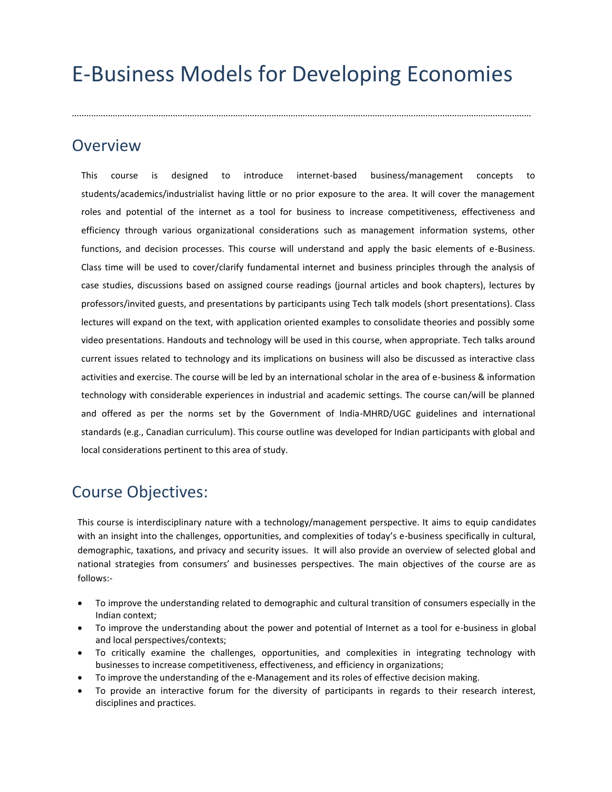# E-Business Models for Developing Economies

...............................................................................................................................................................................................

# **Overview**

This course is designed to introduce internet-based business/management concepts to students/academics/industrialist having little or no prior exposure to the area. It will cover the management roles and potential of the internet as a tool for business to increase competitiveness, effectiveness and efficiency through various organizational considerations such as management information systems, other functions, and decision processes. This course will understand and apply the basic elements of e-Business. Class time will be used to cover/clarify fundamental internet and business principles through the analysis of case studies, discussions based on assigned course readings (journal articles and book chapters), lectures by professors/invited guests, and presentations by participants using Tech talk models (short presentations). Class lectures will expand on the text, with application oriented examples to consolidate theories and possibly some video presentations. Handouts and technology will be used in this course, when appropriate. Tech talks around current issues related to technology and its implications on business will also be discussed as interactive class activities and exercise. The course will be led by an international scholar in the area of e-business & information technology with considerable experiences in industrial and academic settings. The course can/will be planned and offered as per the norms set by the Government of India-MHRD/UGC guidelines and international standards (e.g., Canadian curriculum). This course outline was developed for Indian participants with global and local considerations pertinent to this area of study.

# Course Objectives:

This course is interdisciplinary nature with a technology/management perspective. It aims to equip candidates with an insight into the challenges, opportunities, and complexities of today's e-business specifically in cultural, demographic, taxations, and privacy and security issues. It will also provide an overview of selected global and national strategies from consumers' and businesses perspectives. The main objectives of the course are as follows:-

- To improve the understanding related to demographic and cultural transition of consumers especially in the Indian context;
- To improve the understanding about the power and potential of Internet as a tool for e-business in global and local perspectives/contexts;
- To critically examine the challenges, opportunities, and complexities in integrating technology with businesses to increase competitiveness, effectiveness, and efficiency in organizations;
- To improve the understanding of the e-Management and its roles of effective decision making.
- To provide an interactive forum for the diversity of participants in regards to their research interest, disciplines and practices.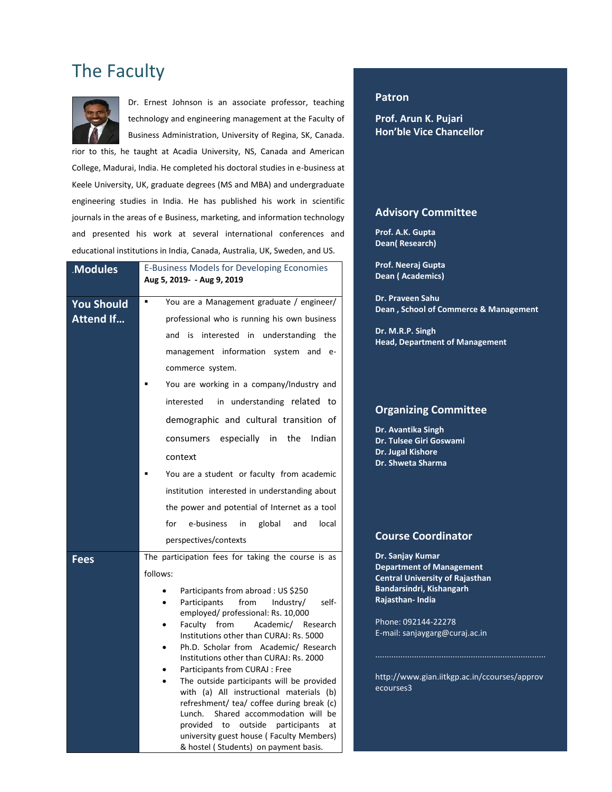# The Faculty



Dr. Ernest Johnson is an associate professor, teaching technology and engineering management at the Faculty of Business Administration, University of Regina, SK, Canada.

rior to this, he taught at Acadia University, NS, Canada and American College, Madurai, India. He completed his doctoral studies in e-business at Keele University, UK, graduate degrees (MS and MBA) and undergraduate engineering studies in India. He has published his work in scientific journals in the areas of e Business, marketing, and information technology and presented his work at several international conferences and educational institutions in India, Canada, Australia, UK, Sweden, and US.

| <b>Modules</b>                        | <b>E-Business Models for Developing Economies</b><br>Aug 5, 2019- - Aug 9, 2019                                                                                                                                                                                                                                                                                                                                                                                                                                                                                                                                                                                                                                                                         |  |  |
|---------------------------------------|---------------------------------------------------------------------------------------------------------------------------------------------------------------------------------------------------------------------------------------------------------------------------------------------------------------------------------------------------------------------------------------------------------------------------------------------------------------------------------------------------------------------------------------------------------------------------------------------------------------------------------------------------------------------------------------------------------------------------------------------------------|--|--|
| <b>You Should</b><br><b>Attend If</b> | You are a Management graduate / engineer/<br>professional who is running his own business<br>and<br>is<br>interested in understanding the<br>management information system and<br>$e-$<br>commerce system.<br>You are working in a company/Industry and<br>in understanding related to<br>interested<br>demographic and cultural transition of<br>especially in<br>the<br>Indian<br>consumers<br>context<br>You are a student or faculty from academic<br>institution interested in understanding about<br>the power and potential of Internet as a tool<br>for<br>e-business<br>global<br>in<br>and<br>local                                                                                                                                           |  |  |
| Fees                                  | perspectives/contexts<br>The participation fees for taking the course is as<br>follows:<br>Participants from abroad : US \$250<br>Participants<br>from<br>Industry/<br>self-<br>employed/ professional: Rs. 10,000<br>from<br>Academic/<br>Faculty<br>Research<br>Institutions other than CURAJ: Rs. 5000<br>Ph.D. Scholar from Academic/ Research<br>Institutions other than CURAJ: Rs. 2000<br>Participants from CURAJ : Free<br>The outside participants will be provided<br>with (a) All instructional materials (b)<br>refreshment/ tea/ coffee during break (c)<br>Shared accommodation will be<br>Lunch.<br>provided<br>outside<br>to<br>participants<br>at<br>university guest house (Faculty Members)<br>& hostel (Students) on payment basis. |  |  |

#### **Patron**

**Prof. Arun K. Pujari Hon'ble Vice Chancellor**

#### **Advisory Committee**

**Prof. A.K. Gupta Dean( Research)**

**Prof. Neeraj Gupta Dean ( Academics)**

**Dr. Praveen Sahu Dean , School of Commerce & Management**

**Dr. M.R.P. Singh Head, Department of Management**

#### **Organizing Committee**

**Dr. Avantika Singh Dr. Tulsee Giri Goswami Dr. Jugal Kishore Dr. Shweta Sharma**

#### **Course Coordinator**

**Dr. Sanjay Kumar Department of Management Central University of Rajasthan Bandarsindri, Kishangarh Rajasthan- India**

Phone: 092144-22278 E-mail: sanjaygarg@curaj.ac.in

http://www.gian.iitkgp.ac.in/ccourses/approv ecourses3

...........................................................................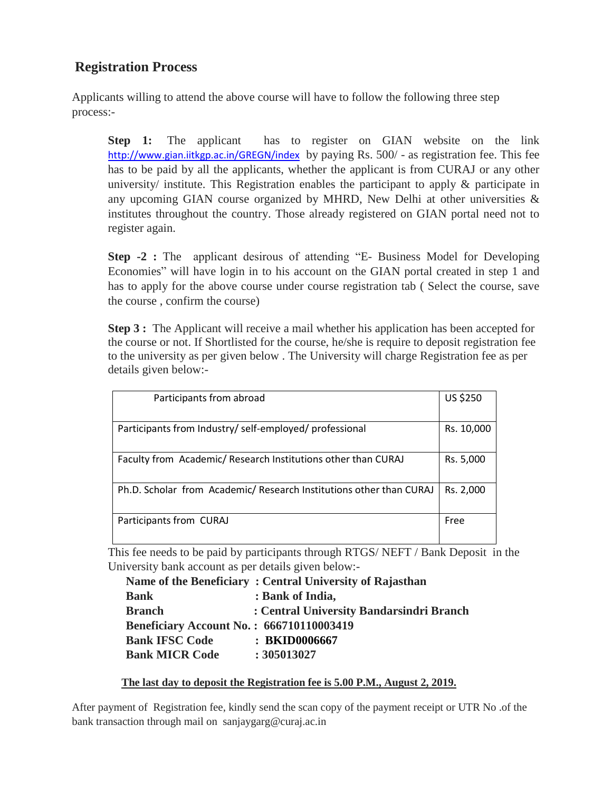### **Registration Process**

Applicants willing to attend the above course will have to follow the following three step process:-

**Step 1:** The applicant has to register on GIAN website on the link <http://www.gian.iitkgp.ac.in/GREGN/index> by paying Rs. 500/ - as registration fee. This fee has to be paid by all the applicants, whether the applicant is from CURAJ or any other university/ institute. This Registration enables the participant to apply & participate in any upcoming GIAN course organized by MHRD, New Delhi at other universities & institutes throughout the country. Those already registered on GIAN portal need not to register again.

**Step -2 :** The applicant desirous of attending "E- Business Model for Developing Economies" will have login in to his account on the GIAN portal created in step 1 and has to apply for the above course under course registration tab ( Select the course, save the course , confirm the course)

**Step 3 :** The Applicant will receive a mail whether his application has been accepted for the course or not. If Shortlisted for the course, he/she is require to deposit registration fee to the university as per given below . The University will charge Registration fee as per details given below:-

| Participants from abroad                                            | US \$250   |
|---------------------------------------------------------------------|------------|
|                                                                     |            |
| Participants from Industry/self-employed/professional               | Rs. 10,000 |
|                                                                     |            |
| Faculty from Academic/ Research Institutions other than CURAJ       | Rs. 5,000  |
|                                                                     |            |
| Ph.D. Scholar from Academic/ Research Institutions other than CURAJ | Rs. 2,000  |
|                                                                     |            |
| Participants from CURAJ                                             | Free       |
|                                                                     |            |

This fee needs to be paid by participants through RTGS/ NEFT / Bank Deposit in the University bank account as per details given below:-

|                                                 | Name of the Beneficiary: Central University of Rajasthan |
|-------------------------------------------------|----------------------------------------------------------|
| <b>Bank</b>                                     | : Bank of India,                                         |
| <b>Branch</b>                                   | : Central University Bandarsindri Branch                 |
| <b>Beneficiary Account No.: 666710110003419</b> |                                                          |
| <b>Bank IFSC Code</b>                           | : BKID0006667                                            |
| <b>Bank MICR Code</b>                           | : 305013027                                              |

#### **The last day to deposit the Registration fee is 5.00 P.M., August 2, 2019.**

After payment of Registration fee, kindly send the scan copy of the payment receipt or UTR No .of the bank transaction through mail on sanjaygarg@curaj.ac.in